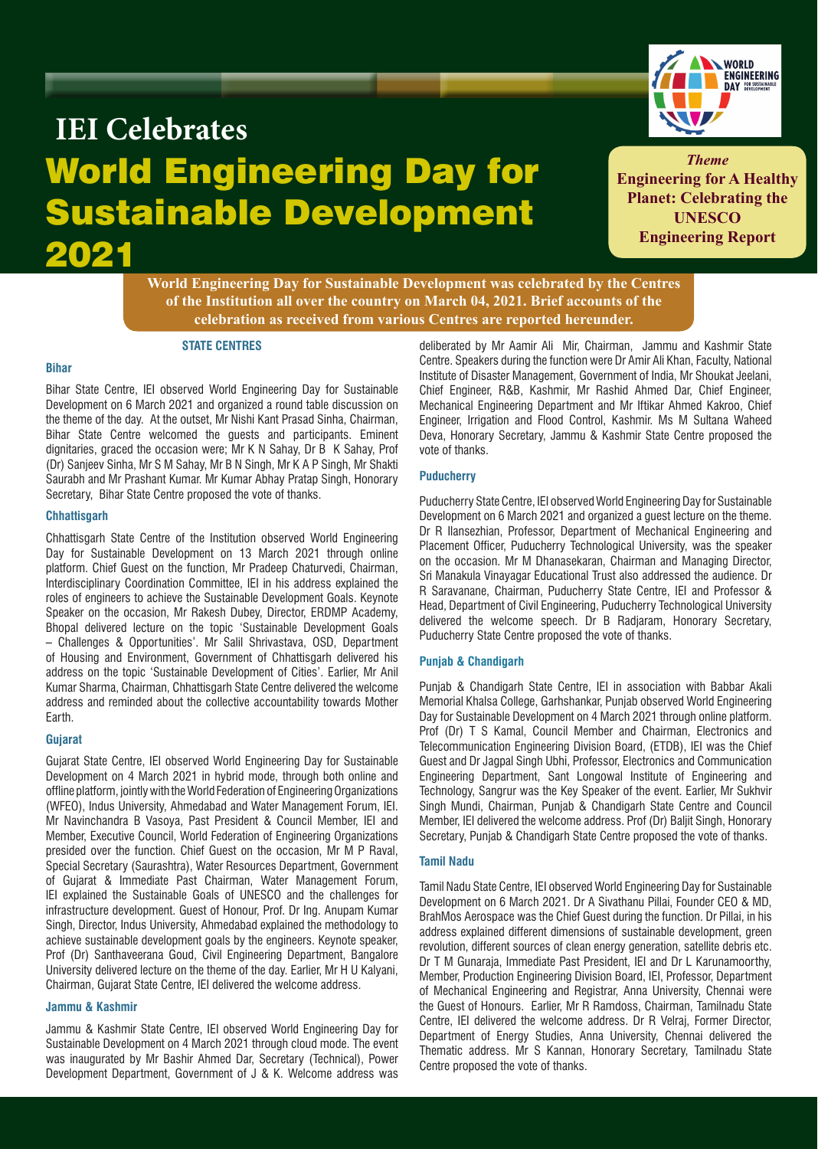

# World Engineering Day for Sustainable Development 2021 **IEI Celebrates**

*Theme* **Engineering for A Healthy Planet: Celebrating the UNESCO Engineering Report**

**World Engineering Day for Sustainable Development was celebrated by the Centres of the Institution all over the country on March 04, 2021. Brief accounts of the celebration as received from various Centres are reported hereunder.**

#### **STATE CENTRES**

## **Bihar**

Bihar State Centre, IEI observed World Engineering Day for Sustainable Development on 6 March 2021 and organized a round table discussion on the theme of the day. At the outset, Mr Nishi Kant Prasad Sinha, Chairman, Bihar State Centre welcomed the guests and participants. Eminent dignitaries, graced the occasion were; Mr K N Sahay, Dr B K Sahay, Prof (Dr) Sanjeev Sinha, Mr S M Sahay, Mr B N Singh, Mr K A P Singh, Mr Shakti Saurabh and Mr Prashant Kumar. Mr Kumar Abhay Pratap Singh, Honorary Secretary, Bihar State Centre proposed the vote of thanks.

#### **Chhattisgarh**

Chhattisgarh State Centre of the Institution observed World Engineering Day for Sustainable Development on 13 March 2021 through online platform. Chief Guest on the function, Mr Pradeep Chaturvedi, Chairman, Interdisciplinary Coordination Committee, IEI in his address explained the roles of engineers to achieve the Sustainable Development Goals. Keynote Speaker on the occasion, Mr Rakesh Dubey, Director, ERDMP Academy, Bhopal delivered lecture on the topic 'Sustainable Development Goals – Challenges & Opportunities'. Mr Salil Shrivastava, OSD, Department of Housing and Environment, Government of Chhattisgarh delivered his address on the topic 'Sustainable Development of Cities'. Earlier, Mr Anil Kumar Sharma, Chairman, Chhattisgarh State Centre delivered the welcome address and reminded about the collective accountability towards Mother Earth.

# **Gujarat**

Gujarat State Centre, IEI observed World Engineering Day for Sustainable Development on 4 March 2021 in hybrid mode, through both online and offline platform, jointly with the World Federation of Engineering Organizations (WFEO), Indus University, Ahmedabad and Water Management Forum, IEI. Mr Navinchandra B Vasoya, Past President & Council Member, IEI and Member, Executive Council, World Federation of Engineering Organizations presided over the function. Chief Guest on the occasion, Mr M P Raval, Special Secretary (Saurashtra), Water Resources Department, Government of Gujarat & Immediate Past Chairman, Water Management Forum, IEI explained the Sustainable Goals of UNESCO and the challenges for infrastructure development. Guest of Honour, Prof. Dr Ing. Anupam Kumar Singh, Director, Indus University, Ahmedabad explained the methodology to achieve sustainable development goals by the engineers. Keynote speaker, Prof (Dr) Santhaveerana Goud, Civil Engineering Department, Bangalore University delivered lecture on the theme of the day. Earlier, Mr H U Kalyani, Chairman, Gujarat State Centre, IEI delivered the welcome address.

## **Jammu & Kashmir**

Jammu & Kashmir State Centre, IEI observed World Engineering Day for Sustainable Development on 4 March 2021 through cloud mode. The event was inaugurated by Mr Bashir Ahmed Dar, Secretary (Technical), Power Development Department, Government of J & K. Welcome address was

deliberated by Mr Aamir Ali Mir, Chairman, Jammu and Kashmir State Centre. Speakers during the function were Dr Amir Ali Khan, Faculty, National Institute of Disaster Management, Government of India, Mr Shoukat Jeelani, Chief Engineer, R&B, Kashmir, Mr Rashid Ahmed Dar, Chief Engineer, Mechanical Engineering Department and Mr Iftikar Ahmed Kakroo, Chief Engineer, Irrigation and Flood Control, Kashmir. Ms M Sultana Waheed Deva, Honorary Secretary, Jammu & Kashmir State Centre proposed the vote of thanks.

## **Puducherry**

Puducherry State Centre, IEI observed World Engineering Day for Sustainable Development on 6 March 2021 and organized a guest lecture on the theme. Dr R Ilansezhian, Professor, Department of Mechanical Engineering and Placement Officer, Puducherry Technological University, was the speaker on the occasion. Mr M Dhanasekaran, Chairman and Managing Director, Sri Manakula Vinayagar Educational Trust also addressed the audience. Dr R Saravanane, Chairman, Puducherry State Centre, IEI and Professor & Head, Department of Civil Engineering, Puducherry Technological University delivered the welcome speech. Dr B Radjaram, Honorary Secretary, Puducherry State Centre proposed the vote of thanks.

## **Punjab & Chandigarh**

Punjab & Chandigarh State Centre, IEI in association with Babbar Akali Memorial Khalsa College, Garhshankar, Punjab observed World Engineering Day for Sustainable Development on 4 March 2021 through online platform. Prof (Dr) T S Kamal, Council Member and Chairman, Electronics and Telecommunication Engineering Division Board, (ETDB), IEI was the Chief Guest and Dr Jagpal Singh Ubhi, Professor, Electronics and Communication Engineering Department, Sant Longowal Institute of Engineering and Technology, Sangrur was the Key Speaker of the event. Earlier, Mr Sukhvir Singh Mundi, Chairman, Punjab & Chandigarh State Centre and Council Member, IEI delivered the welcome address. Prof (Dr) Baljit Singh, Honorary Secretary, Punjab & Chandigarh State Centre proposed the vote of thanks.

#### **Tamil Nadu**

Tamil Nadu State Centre, IEI observed World Engineering Day for Sustainable Development on 6 March 2021. Dr A Sivathanu Pillai, Founder CEO & MD, BrahMos Aerospace was the Chief Guest during the function. Dr Pillai, in his address explained different dimensions of sustainable development, green revolution, different sources of clean energy generation, satellite debris etc. Dr T M Gunaraja, Immediate Past President, IEI and Dr L Karunamoorthy, Member, Production Engineering Division Board, IEI, Professor, Department of Mechanical Engineering and Registrar, Anna University, Chennai were the Guest of Honours. Earlier, Mr R Ramdoss, Chairman, Tamilnadu State Centre, IEI delivered the welcome address. Dr R Velraj, Former Director, Department of Energy Studies, Anna University, Chennai delivered the Thematic address. Mr S Kannan, Honorary Secretary, Tamilnadu State Centre proposed the vote of thanks.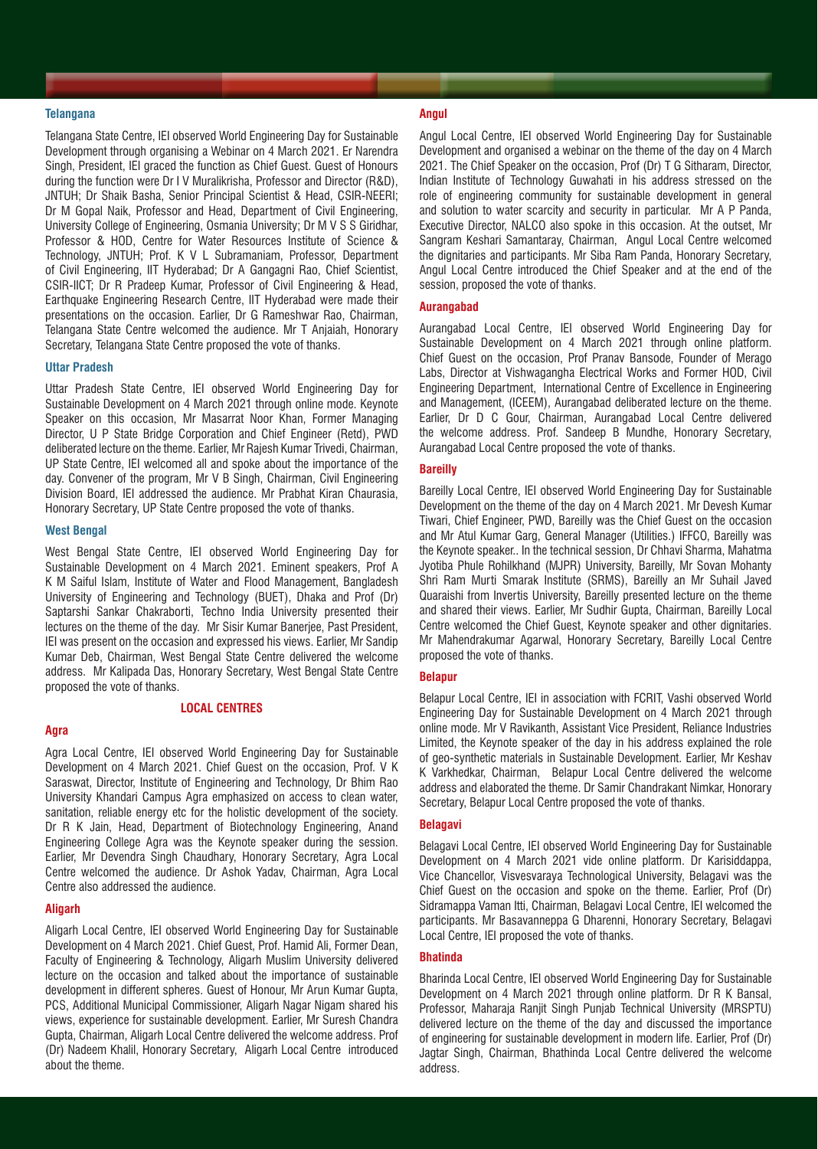## **Telangana**

Telangana State Centre, IEI observed World Engineering Day for Sustainable Development through organising a Webinar on 4 March 2021. Er Narendra Singh, President, IEI graced the function as Chief Guest. Guest of Honours during the function were Dr I V Muralikrisha, Professor and Director (R&D), JNTUH; Dr Shaik Basha, Senior Principal Scientist & Head, CSIR-NEERI; Dr M Gopal Naik, Professor and Head, Department of Civil Engineering, University College of Engineering, Osmania University; Dr M V S S Giridhar, Professor & HOD, Centre for Water Resources Institute of Science & Technology, JNTUH; Prof. K V L Subramaniam, Professor, Department of Civil Engineering, IIT Hyderabad; Dr A Gangagni Rao, Chief Scientist, CSIR-IICT; Dr R Pradeep Kumar, Professor of Civil Engineering & Head, Earthquake Engineering Research Centre, IIT Hyderabad were made their presentations on the occasion. Earlier, Dr G Rameshwar Rao, Chairman, Telangana State Centre welcomed the audience. Mr T Anjaiah, Honorary Secretary, Telangana State Centre proposed the vote of thanks.

#### **Uttar Pradesh**

Uttar Pradesh State Centre, IEI observed World Engineering Day for Sustainable Development on 4 March 2021 through online mode. Keynote Speaker on this occasion, Mr Masarrat Noor Khan, Former Managing Director, U P State Bridge Corporation and Chief Engineer (Retd), PWD deliberated lecture on the theme. Earlier, Mr Rajesh Kumar Trivedi, Chairman, UP State Centre, IEI welcomed all and spoke about the importance of the day. Convener of the program, Mr V B Singh, Chairman, Civil Engineering Division Board, IEI addressed the audience. Mr Prabhat Kiran Chaurasia, Honorary Secretary, UP State Centre proposed the vote of thanks.

## **West Bengal**

West Bengal State Centre, IEI observed World Engineering Day for Sustainable Development on 4 March 2021. Eminent speakers, Prof A K M Saiful Islam, Institute of Water and Flood Management, Bangladesh University of Engineering and Technology (BUET), Dhaka and Prof (Dr) Saptarshi Sankar Chakraborti, Techno India University presented their lectures on the theme of the day. Mr Sisir Kumar Banerjee, Past President, IEI was present on the occasion and expressed his views. Earlier, Mr Sandip Kumar Deb, Chairman, West Bengal State Centre delivered the welcome address. Mr Kalipada Das, Honorary Secretary, West Bengal State Centre proposed the vote of thanks.

## **LOCAL CENTRES**

## **Agra**

Agra Local Centre, IEI observed World Engineering Day for Sustainable Development on 4 March 2021. Chief Guest on the occasion, Prof. V K Saraswat, Director, Institute of Engineering and Technology, Dr Bhim Rao University Khandari Campus Agra emphasized on access to clean water, sanitation, reliable energy etc for the holistic development of the society. Dr R K Jain, Head, Department of Biotechnology Engineering, Anand Engineering College Agra was the Keynote speaker during the session. Earlier, Mr Devendra Singh Chaudhary, Honorary Secretary, Agra Local Centre welcomed the audience. Dr Ashok Yadav, Chairman, Agra Local Centre also addressed the audience.

#### **Aligarh**

Aligarh Local Centre, IEI observed World Engineering Day for Sustainable Development on 4 March 2021. Chief Guest, Prof. Hamid Ali, Former Dean, Faculty of Engineering & Technology, Aligarh Muslim University delivered lecture on the occasion and talked about the importance of sustainable development in different spheres. Guest of Honour, Mr Arun Kumar Gupta, PCS, Additional Municipal Commissioner, Aligarh Nagar Nigam shared his views, experience for sustainable development. Earlier, Mr Suresh Chandra Gupta, Chairman, Aligarh Local Centre delivered the welcome address. Prof (Dr) Nadeem Khalil, Honorary Secretary, Aligarh Local Centre introduced about the theme.

#### **Angul**

Angul Local Centre, IEI observed World Engineering Day for Sustainable Development and organised a webinar on the theme of the day on 4 March 2021. The Chief Speaker on the occasion, Prof (Dr) T G Sitharam, Director, Indian Institute of Technology Guwahati in his address stressed on the role of engineering community for sustainable development in general and solution to water scarcity and security in particular. Mr A P Panda, Executive Director, NALCO also spoke in this occasion. At the outset, Mr Sangram Keshari Samantaray, Chairman, Angul Local Centre welcomed the dignitaries and participants. Mr Siba Ram Panda, Honorary Secretary, Angul Local Centre introduced the Chief Speaker and at the end of the session, proposed the vote of thanks.

## **Aurangabad**

Aurangabad Local Centre, IEI observed World Engineering Day for Sustainable Development on 4 March 2021 through online platform. Chief Guest on the occasion, Prof Pranav Bansode, Founder of Merago Labs, Director at Vishwagangha Electrical Works and Former HOD, Civil Engineering Department, International Centre of Excellence in Engineering and Management, (ICEEM), Aurangabad deliberated lecture on the theme. Earlier, Dr D C Gour, Chairman, Aurangabad Local Centre delivered the welcome address. Prof. Sandeep B Mundhe, Honorary Secretary, Aurangabad Local Centre proposed the vote of thanks.

## **Bareilly**

Bareilly Local Centre, IEI observed World Engineering Day for Sustainable Development on the theme of the day on 4 March 2021. Mr Devesh Kumar Tiwari, Chief Engineer, PWD, Bareilly was the Chief Guest on the occasion and Mr Atul Kumar Garg, General Manager (Utilities.) IFFCO, Bareilly was the Keynote speaker.. In the technical session, Dr Chhavi Sharma, Mahatma Jyotiba Phule Rohilkhand (MJPR) University, Bareilly, Mr Sovan Mohanty Shri Ram Murti Smarak Institute (SRMS), Bareilly an Mr Suhail Javed Quaraishi from Invertis University, Bareilly presented lecture on the theme and shared their views. Earlier, Mr Sudhir Gupta, Chairman, Bareilly Local Centre welcomed the Chief Guest, Keynote speaker and other dignitaries. Mr Mahendrakumar Agarwal, Honorary Secretary, Bareilly Local Centre proposed the vote of thanks.

## **Belapur**

Belapur Local Centre, IEI in association with FCRIT, Vashi observed World Engineering Day for Sustainable Development on 4 March 2021 through online mode. Mr V Ravikanth, Assistant Vice President, Reliance Industries Limited, the Keynote speaker of the day in his address explained the role of geo-synthetic materials in Sustainable Development. Earlier, Mr Keshav K Varkhedkar, Chairman, Belapur Local Centre delivered the welcome address and elaborated the theme. Dr Samir Chandrakant Nimkar, Honorary Secretary, Belapur Local Centre proposed the vote of thanks.

## **Belagavi**

Belagavi Local Centre, IEI observed World Engineering Day for Sustainable Development on 4 March 2021 vide online platform. Dr Karisiddappa, Vice Chancellor, Visvesvaraya Technological University, Belagavi was the Chief Guest on the occasion and spoke on the theme. Earlier, Prof (Dr) Sidramappa Vaman Itti, Chairman, Belagavi Local Centre, IEI welcomed the participants. Mr Basavanneppa G Dharenni, Honorary Secretary, Belagavi Local Centre, IEI proposed the vote of thanks.

# **Bhatinda**

Bharinda Local Centre, IEI observed World Engineering Day for Sustainable Development on 4 March 2021 through online platform. Dr R K Bansal, Professor, Maharaja Ranjit Singh Punjab Technical University (MRSPTU) delivered lecture on the theme of the day and discussed the importance of engineering for sustainable development in modern life. Earlier, Prof (Dr) Jagtar Singh, Chairman, Bhathinda Local Centre delivered the welcome address.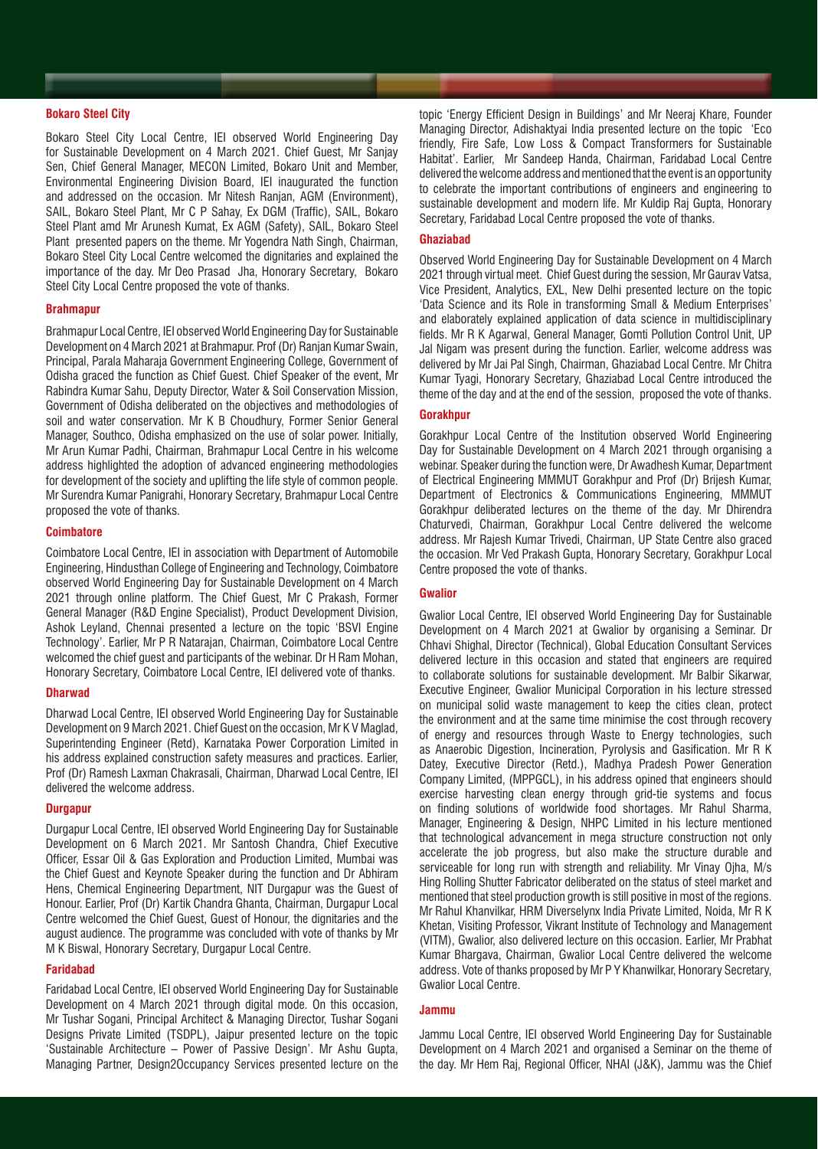#### **Bokaro Steel City**

Bokaro Steel City Local Centre, IEI observed World Engineering Day for Sustainable Development on 4 March 2021. Chief Guest, Mr Sanjay Sen, Chief General Manager, MECON Limited, Bokaro Unit and Member, Environmental Engineering Division Board, IEI inaugurated the function and addressed on the occasion. Mr Nitesh Ranjan, AGM (Environment), SAIL, Bokaro Steel Plant, Mr C P Sahay, Ex DGM (Traffic), SAIL, Bokaro Steel Plant amd Mr Arunesh Kumat, Ex AGM (Safety), SAIL, Bokaro Steel Plant presented papers on the theme. Mr Yogendra Nath Singh, Chairman, Bokaro Steel City Local Centre welcomed the dignitaries and explained the importance of the day. Mr Deo Prasad Jha, Honorary Secretary, Bokaro Steel City Local Centre proposed the vote of thanks.

#### **Brahmapur**

Brahmapur Local Centre, IEI observed World Engineering Day for Sustainable Development on 4 March 2021 at Brahmapur. Prof (Dr) Ranjan Kumar Swain, Principal, Parala Maharaja Government Engineering College, Government of Odisha graced the function as Chief Guest. Chief Speaker of the event, Mr Rabindra Kumar Sahu, Deputy Director, Water & Soil Conservation Mission, Government of Odisha deliberated on the objectives and methodologies of soil and water conservation. Mr K B Choudhury, Former Senior General Manager, Southco, Odisha emphasized on the use of solar power. Initially, Mr Arun Kumar Padhi, Chairman, Brahmapur Local Centre in his welcome address highlighted the adoption of advanced engineering methodologies for development of the society and uplifting the life style of common people. Mr Surendra Kumar Panigrahi, Honorary Secretary, Brahmapur Local Centre proposed the vote of thanks.

### **Coimbatore**

Coimbatore Local Centre, IEI in association with Department of Automobile Engineering, Hindusthan College of Engineering and Technology, Coimbatore observed World Engineering Day for Sustainable Development on 4 March 2021 through online platform. The Chief Guest, Mr C Prakash, Former General Manager (R&D Engine Specialist), Product Development Division, Ashok Leyland, Chennai presented a lecture on the topic 'BSVI Engine Technology'. Earlier, Mr P R Natarajan, Chairman, Coimbatore Local Centre welcomed the chief guest and participants of the webinar. Dr H Ram Mohan, Honorary Secretary, Coimbatore Local Centre, IEI delivered vote of thanks.

#### **Dharwad**

Dharwad Local Centre, IEI observed World Engineering Day for Sustainable Development on 9 March 2021. Chief Guest on the occasion, Mr K V Maglad, Superintending Engineer (Retd), Karnataka Power Corporation Limited in his address explained construction safety measures and practices. Earlier, Prof (Dr) Ramesh Laxman Chakrasali, Chairman, Dharwad Local Centre, IEI delivered the welcome address.

### **Durgapur**

Durgapur Local Centre, IEI observed World Engineering Day for Sustainable Development on 6 March 2021. Mr Santosh Chandra, Chief Executive Officer, Essar Oil & Gas Exploration and Production Limited, Mumbai was the Chief Guest and Keynote Speaker during the function and Dr Abhiram Hens, Chemical Engineering Department, NIT Durgapur was the Guest of Honour. Earlier, Prof (Dr) Kartik Chandra Ghanta, Chairman, Durgapur Local Centre welcomed the Chief Guest, Guest of Honour, the dignitaries and the august audience. The programme was concluded with vote of thanks by Mr M K Biswal, Honorary Secretary, Durgapur Local Centre.

## **Faridabad**

Faridabad Local Centre, IEI observed World Engineering Day for Sustainable Development on 4 March 2021 through digital mode. On this occasion, Mr Tushar Sogani, Principal Architect & Managing Director, Tushar Sogani Designs Private Limited (TSDPL), Jaipur presented lecture on the topic 'Sustainable Architecture – Power of Passive Design'. Mr Ashu Gupta, Managing Partner, Design2Occupancy Services presented lecture on the

topic 'Energy Efficient Design in Buildings' and Mr Neeraj Khare, Founder Managing Director, Adishaktyai India presented lecture on the topic 'Eco friendly, Fire Safe, Low Loss & Compact Transformers for Sustainable Habitat'. Earlier, Mr Sandeep Handa, Chairman, Faridabad Local Centre delivered the welcome address and mentioned that the event is an opportunity to celebrate the important contributions of engineers and engineering to sustainable development and modern life. Mr Kuldip Raj Gupta, Honorary Secretary, Faridabad Local Centre proposed the vote of thanks.

#### **Ghaziabad**

Observed World Engineering Day for Sustainable Development on 4 March 2021 through virtual meet. Chief Guest during the session, Mr Gaurav Vatsa, Vice President, Analytics, EXL, New Delhi presented lecture on the topic 'Data Science and its Role in transforming Small & Medium Enterprises' and elaborately explained application of data science in multidisciplinary fields. Mr R K Agarwal, General Manager, Gomti Pollution Control Unit, UP Jal Nigam was present during the function. Earlier, welcome address was delivered by Mr Jai Pal Singh, Chairman, Ghaziabad Local Centre. Mr Chitra Kumar Tyagi, Honorary Secretary, Ghaziabad Local Centre introduced the theme of the day and at the end of the session, proposed the vote of thanks.

# **Gorakhpur**

Gorakhpur Local Centre of the Institution observed World Engineering Day for Sustainable Development on 4 March 2021 through organising a webinar. Speaker during the function were, Dr Awadhesh Kumar, Department of Electrical Engineering MMMUT Gorakhpur and Prof (Dr) Brijesh Kumar, Department of Electronics & Communications Engineering, MMMUT Gorakhpur deliberated lectures on the theme of the day. Mr Dhirendra Chaturvedi, Chairman, Gorakhpur Local Centre delivered the welcome address. Mr Rajesh Kumar Trivedi, Chairman, UP State Centre also graced the occasion. Mr Ved Prakash Gupta, Honorary Secretary, Gorakhpur Local Centre proposed the vote of thanks.

# **Gwalior**

Gwalior Local Centre, IEI observed World Engineering Day for Sustainable Development on 4 March 2021 at Gwalior by organising a Seminar. Dr Chhavi Shighal, Director (Technical), Global Education Consultant Services delivered lecture in this occasion and stated that engineers are required to collaborate solutions for sustainable development. Mr Balbir Sikarwar, Executive Engineer, Gwalior Municipal Corporation in his lecture stressed on municipal solid waste management to keep the cities clean, protect the environment and at the same time minimise the cost through recovery of energy and resources through Waste to Energy technologies, such as Anaerobic Digestion, Incineration, Pyrolysis and Gasification. Mr R K Datey, Executive Director (Retd.), Madhya Pradesh Power Generation Company Limited, (MPPGCL), in his address opined that engineers should exercise harvesting clean energy through grid-tie systems and focus on finding solutions of worldwide food shortages. Mr Rahul Sharma, Manager, Engineering & Design, NHPC Limited in his lecture mentioned that technological advancement in mega structure construction not only accelerate the job progress, but also make the structure durable and serviceable for long run with strength and reliability. Mr Vinay Ojha, M/s Hing Rolling Shutter Fabricator deliberated on the status of steel market and mentioned that steel production growth is still positive in most of the regions. Mr RahuI Khanvilkar, HRM Diverselynx India Private Limited, Noida, Mr R K Khetan, Visiting Professor, Vikrant Institute of Technology and Management (VITM), Gwalior, also delivered lecture on this occasion. Earlier, Mr Prabhat Kumar Bhargava, Chairman, Gwalior Local Centre delivered the welcome address. Vote of thanks proposed by Mr P Y Khanwilkar, Honorary Secretary, Gwalior Local Centre.

#### **Jammu**

Jammu Local Centre, IEI observed World Engineering Day for Sustainable Development on 4 March 2021 and organised a Seminar on the theme of the day. Mr Hem Raj, Regional Officer, NHAI (J&K), Jammu was the Chief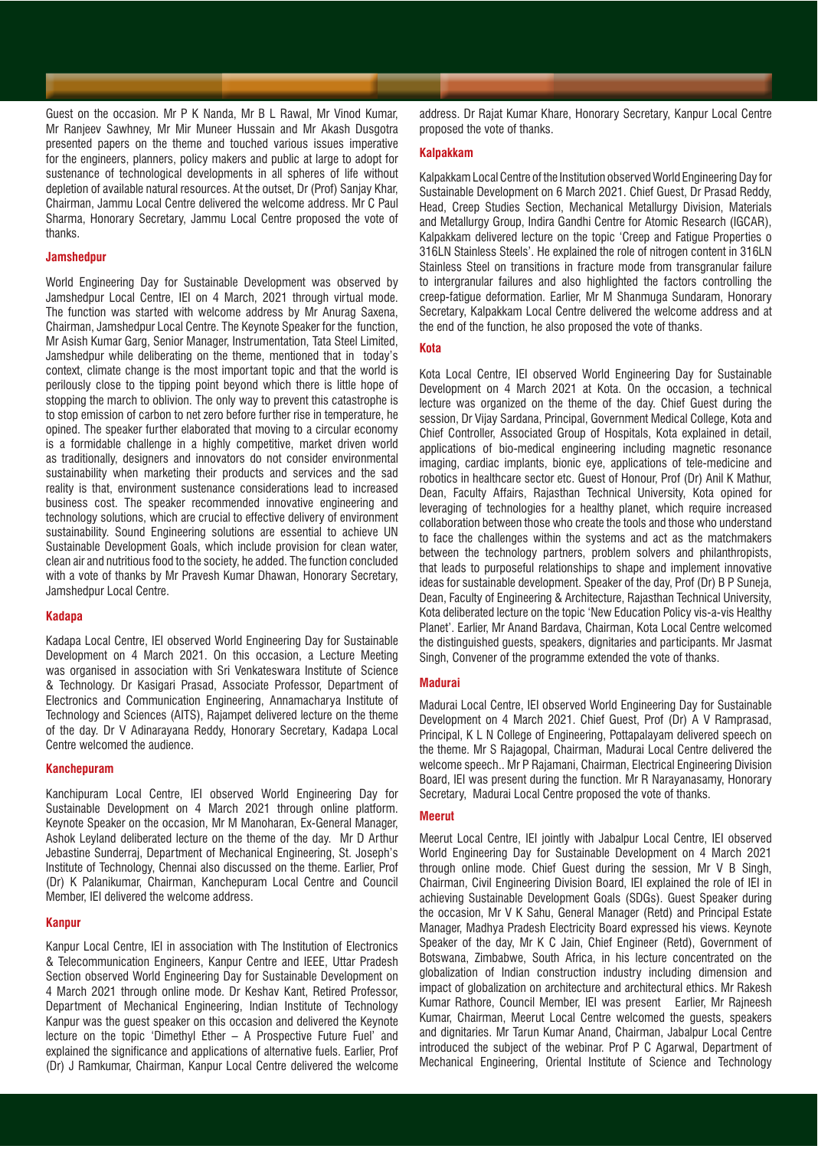Guest on the occasion. Mr P K Nanda, Mr B L Rawal, Mr Vinod Kumar, Mr Ranjeev Sawhney, Mr Mir Muneer Hussain and Mr Akash Dusgotra presented papers on the theme and touched various issues imperative for the engineers, planners, policy makers and public at large to adopt for sustenance of technological developments in all spheres of life without depletion of available natural resources. At the outset, Dr (Prof) Sanjay Khar, Chairman, Jammu Local Centre delivered the welcome address. Mr C Paul Sharma, Honorary Secretary, Jammu Local Centre proposed the vote of thanks.

## **Jamshedpur**

World Engineering Day for Sustainable Development was observed by Jamshedpur Local Centre, IEI on 4 March, 2021 through virtual mode. The function was started with welcome address by Mr Anurag Saxena, Chairman, Jamshedpur Local Centre. The Keynote Speaker for the function, Mr Asish Kumar Garg, Senior Manager, Instrumentation, Tata Steel Limited, Jamshedpur while deliberating on the theme, mentioned that in today's context, climate change is the most important topic and that the world is perilously close to the tipping point beyond which there is little hope of stopping the march to oblivion. The only way to prevent this catastrophe is to stop emission of carbon to net zero before further rise in temperature, he opined. The speaker further elaborated that moving to a circular economy is a formidable challenge in a highly competitive, market driven world as traditionally, designers and innovators do not consider environmental sustainability when marketing their products and services and the sad reality is that, environment sustenance considerations lead to increased business cost. The speaker recommended innovative engineering and technology solutions, which are crucial to effective delivery of environment sustainability. Sound Engineering solutions are essential to achieve UN Sustainable Development Goals, which include provision for clean water, clean air and nutritious food to the society, he added. The function concluded with a vote of thanks by Mr Pravesh Kumar Dhawan, Honorary Secretary, Jamshedpur Local Centre.

## **Kadapa**

Kadapa Local Centre, IEI observed World Engineering Day for Sustainable Development on 4 March 2021. On this occasion, a Lecture Meeting was organised in association with Sri Venkateswara Institute of Science & Technology. Dr Kasigari Prasad, Associate Professor, Department of Electronics and Communication Engineering, Annamacharya Institute of Technology and Sciences (AITS), Rajampet delivered lecture on the theme of the day. Dr V Adinarayana Reddy, Honorary Secretary, Kadapa Local Centre welcomed the audience.

## **Kanchepuram**

Kanchipuram Local Centre, IEI observed World Engineering Day for Sustainable Development on 4 March 2021 through online platform. Keynote Speaker on the occasion, Mr M Manoharan, Ex-General Manager, Ashok Leyland deliberated lecture on the theme of the day. Mr D Arthur Jebastine Sunderraj, Department of Mechanical Engineering, St. Joseph's Institute of Technology, Chennai also discussed on the theme. Earlier, Prof (Dr) K Palanikumar, Chairman, Kanchepuram Local Centre and Council Member, IEI delivered the welcome address.

#### **Kanpur**

Kanpur Local Centre, IEI in association with The Institution of Electronics & Telecommunication Engineers, Kanpur Centre and IEEE, Uttar Pradesh Section observed World Engineering Day for Sustainable Development on 4 March 2021 through online mode. Dr Keshav Kant, Retired Professor, Department of Mechanical Engineering, Indian Institute of Technology Kanpur was the guest speaker on this occasion and delivered the Keynote lecture on the topic 'Dimethyl Ether – A Prospective Future Fuel' and explained the significance and applications of alternative fuels. Earlier, Prof (Dr) J Ramkumar, Chairman, Kanpur Local Centre delivered the welcome

address. Dr Rajat Kumar Khare, Honorary Secretary, Kanpur Local Centre proposed the vote of thanks.

## **Kalpakkam**

Kalpakkam Local Centre of the Institution observed World Engineering Day for Sustainable Development on 6 March 2021. Chief Guest, Dr Prasad Reddy, Head, Creep Studies Section, Mechanical Metallurgy Division, Materials and Metallurgy Group, Indira Gandhi Centre for Atomic Research (IGCAR), Kalpakkam delivered lecture on the topic 'Creep and Fatigue Properties o 316LN Stainless Steels'. He explained the role of nitrogen content in 316LN Stainless Steel on transitions in fracture mode from transgranular failure to intergranular failures and also highlighted the factors controlling the creep-fatigue deformation. Earlier, Mr M Shanmuga Sundaram, Honorary Secretary, Kalpakkam Local Centre delivered the welcome address and at the end of the function, he also proposed the vote of thanks.

## **Kota**

Kota Local Centre, IEI observed World Engineering Day for Sustainable Development on 4 March 2021 at Kota. On the occasion, a technical lecture was organized on the theme of the day. Chief Guest during the session, Dr Vijay Sardana, Principal, Government Medical College, Kota and Chief Controller, Associated Group of Hospitals, Kota explained in detail, applications of bio-medical engineering including magnetic resonance imaging, cardiac implants, bionic eye, applications of tele-medicine and robotics in healthcare sector etc. Guest of Honour, Prof (Dr) Anil K Mathur, Dean, Faculty Affairs, Rajasthan Technical University, Kota opined for leveraging of technologies for a healthy planet, which require increased collaboration between those who create the tools and those who understand to face the challenges within the systems and act as the matchmakers between the technology partners, problem solvers and philanthropists, that leads to purposeful relationships to shape and implement innovative ideas for sustainable development. Speaker of the day, Prof (Dr) B P Suneja, Dean, Faculty of Engineering & Architecture, Rajasthan Technical University, Kota deliberated lecture on the topic 'New Education Policy vis-a-vis Healthy Planet'. Earlier, Mr Anand Bardava, Chairman, Kota Local Centre welcomed the distinguished guests, speakers, dignitaries and participants. Mr Jasmat Singh, Convener of the programme extended the vote of thanks.

# **Madurai**

Madurai Local Centre, IEI observed World Engineering Day for Sustainable Development on 4 March 2021. Chief Guest, Prof (Dr) A V Ramprasad, Principal, K L N College of Engineering, Pottapalayam delivered speech on the theme. Mr S Rajagopal, Chairman, Madurai Local Centre delivered the welcome speech.. Mr P Rajamani, Chairman, Electrical Engineering Division Board, IEI was present during the function. Mr R Narayanasamy, Honorary Secretary, Madurai Local Centre proposed the vote of thanks.

## **Meerut**

Meerut Local Centre, IEI jointly with Jabalpur Local Centre, IEI observed World Engineering Day for Sustainable Development on 4 March 2021 through online mode. Chief Guest during the session, Mr V B Singh, Chairman, Civil Engineering Division Board, IEI explained the role of IEI in achieving Sustainable Development Goals (SDGs). Guest Speaker during the occasion, Mr V K Sahu, General Manager (Retd) and Principal Estate Manager, Madhya Pradesh Electricity Board expressed his views. Keynote Speaker of the day, Mr K C Jain, Chief Engineer (Retd), Government of Botswana, Zimbabwe, South Africa, in his lecture concentrated on the globalization of Indian construction industry including dimension and impact of globalization on architecture and architectural ethics. Mr Rakesh Kumar Rathore, Council Member, IEI was present Earlier, Mr Rajneesh Kumar, Chairman, Meerut Local Centre welcomed the guests, speakers and dignitaries. Mr Tarun Kumar Anand, Chairman, Jabalpur Local Centre introduced the subject of the webinar. Prof P C Agarwal, Department of Mechanical Engineering, Oriental Institute of Science and Technology